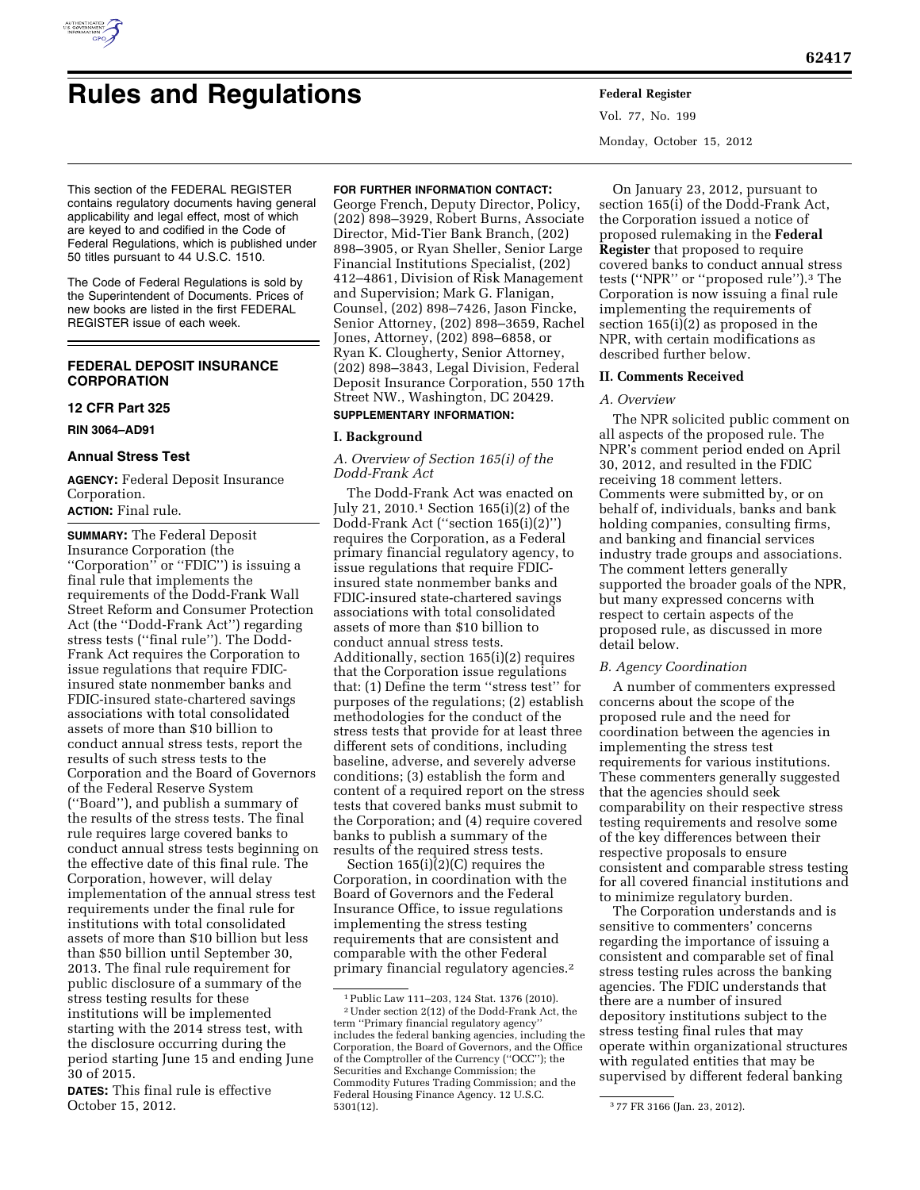

# **Rules and Regulations Federal Register**

Vol. 77, No. 199 Monday, October 15, 2012

This section of the FEDERAL REGISTER contains regulatory documents having general applicability and legal effect, most of which are keyed to and codified in the Code of Federal Regulations, which is published under 50 titles pursuant to 44 U.S.C. 1510.

The Code of Federal Regulations is sold by the Superintendent of Documents. Prices of new books are listed in the first FEDERAL REGISTER issue of each week.

## **FEDERAL DEPOSIT INSURANCE CORPORATION**

## **12 CFR Part 325**

**RIN 3064–AD91** 

#### **Annual Stress Test**

**AGENCY:** Federal Deposit Insurance Corporation.

## **ACTION:** Final rule.

**SUMMARY:** The Federal Deposit Insurance Corporation (the ''Corporation'' or ''FDIC'') is issuing a final rule that implements the requirements of the Dodd-Frank Wall Street Reform and Consumer Protection Act (the ''Dodd-Frank Act'') regarding stress tests (''final rule''). The Dodd-Frank Act requires the Corporation to issue regulations that require FDICinsured state nonmember banks and FDIC-insured state-chartered savings associations with total consolidated assets of more than \$10 billion to conduct annual stress tests, report the results of such stress tests to the Corporation and the Board of Governors of the Federal Reserve System (''Board''), and publish a summary of the results of the stress tests. The final rule requires large covered banks to conduct annual stress tests beginning on the effective date of this final rule. The Corporation, however, will delay implementation of the annual stress test requirements under the final rule for institutions with total consolidated assets of more than \$10 billion but less than \$50 billion until September 30, 2013. The final rule requirement for public disclosure of a summary of the stress testing results for these institutions will be implemented starting with the 2014 stress test, with the disclosure occurring during the period starting June 15 and ending June 30 of 2015.

**DATES:** This final rule is effective October 15, 2012.

#### **FOR FURTHER INFORMATION CONTACT:**

George French, Deputy Director, Policy, (202) 898–3929, Robert Burns, Associate Director, Mid-Tier Bank Branch, (202) 898–3905, or Ryan Sheller, Senior Large Financial Institutions Specialist, (202) 412–4861, Division of Risk Management and Supervision; Mark G. Flanigan, Counsel, (202) 898–7426, Jason Fincke, Senior Attorney, (202) 898–3659, Rachel Jones, Attorney, (202) 898–6858, or Ryan K. Clougherty, Senior Attorney, (202) 898–3843, Legal Division, Federal Deposit Insurance Corporation, 550 17th Street NW., Washington, DC 20429.

## **SUPPLEMENTARY INFORMATION:**

## **I. Background**

*A. Overview of Section 165(i) of the Dodd-Frank Act* 

The Dodd-Frank Act was enacted on July 21, 2010.1 Section 165(i)(2) of the Dodd-Frank Act (''section 165(i)(2)'') requires the Corporation, as a Federal primary financial regulatory agency, to issue regulations that require FDICinsured state nonmember banks and FDIC-insured state-chartered savings associations with total consolidated assets of more than \$10 billion to conduct annual stress tests. Additionally, section 165(i)(2) requires that the Corporation issue regulations that: (1) Define the term ''stress test'' for purposes of the regulations; (2) establish methodologies for the conduct of the stress tests that provide for at least three different sets of conditions, including baseline, adverse, and severely adverse conditions; (3) establish the form and content of a required report on the stress tests that covered banks must submit to the Corporation; and (4) require covered banks to publish a summary of the results of the required stress tests.

Section  $165(i)(2)(C)$  requires the Corporation, in coordination with the Board of Governors and the Federal Insurance Office, to issue regulations implementing the stress testing requirements that are consistent and comparable with the other Federal primary financial regulatory agencies.2

On January 23, 2012, pursuant to section 165(i) of the Dodd-Frank Act, the Corporation issued a notice of proposed rulemaking in the **Federal Register** that proposed to require covered banks to conduct annual stress tests (''NPR'' or ''proposed rule'').3 The Corporation is now issuing a final rule implementing the requirements of section 165(i)(2) as proposed in the NPR, with certain modifications as described further below.

## **II. Comments Received**

#### *A. Overview*

The NPR solicited public comment on all aspects of the proposed rule. The NPR's comment period ended on April 30, 2012, and resulted in the FDIC receiving 18 comment letters. Comments were submitted by, or on behalf of, individuals, banks and bank holding companies, consulting firms, and banking and financial services industry trade groups and associations. The comment letters generally supported the broader goals of the NPR, but many expressed concerns with respect to certain aspects of the proposed rule, as discussed in more detail below.

#### *B. Agency Coordination*

A number of commenters expressed concerns about the scope of the proposed rule and the need for coordination between the agencies in implementing the stress test requirements for various institutions. These commenters generally suggested that the agencies should seek comparability on their respective stress testing requirements and resolve some of the key differences between their respective proposals to ensure consistent and comparable stress testing for all covered financial institutions and to minimize regulatory burden.

The Corporation understands and is sensitive to commenters' concerns regarding the importance of issuing a consistent and comparable set of final stress testing rules across the banking agencies. The FDIC understands that there are a number of insured depository institutions subject to the stress testing final rules that may operate within organizational structures with regulated entities that may be supervised by different federal banking

<sup>1</sup>Public Law 111–203, 124 Stat. 1376 (2010). 2Under section 2(12) of the Dodd-Frank Act, the term ''Primary financial regulatory agency'' includes the federal banking agencies, including the Corporation, the Board of Governors, and the Office of the Comptroller of the Currency (''OCC''); the Securities and Exchange Commission; the Commodity Futures Trading Commission; and the Federal Housing Finance Agency. 12 U.S.C.

<sup>&</sup>lt;sup>3</sup>77 FR 3166 (Jan. 23, 2012).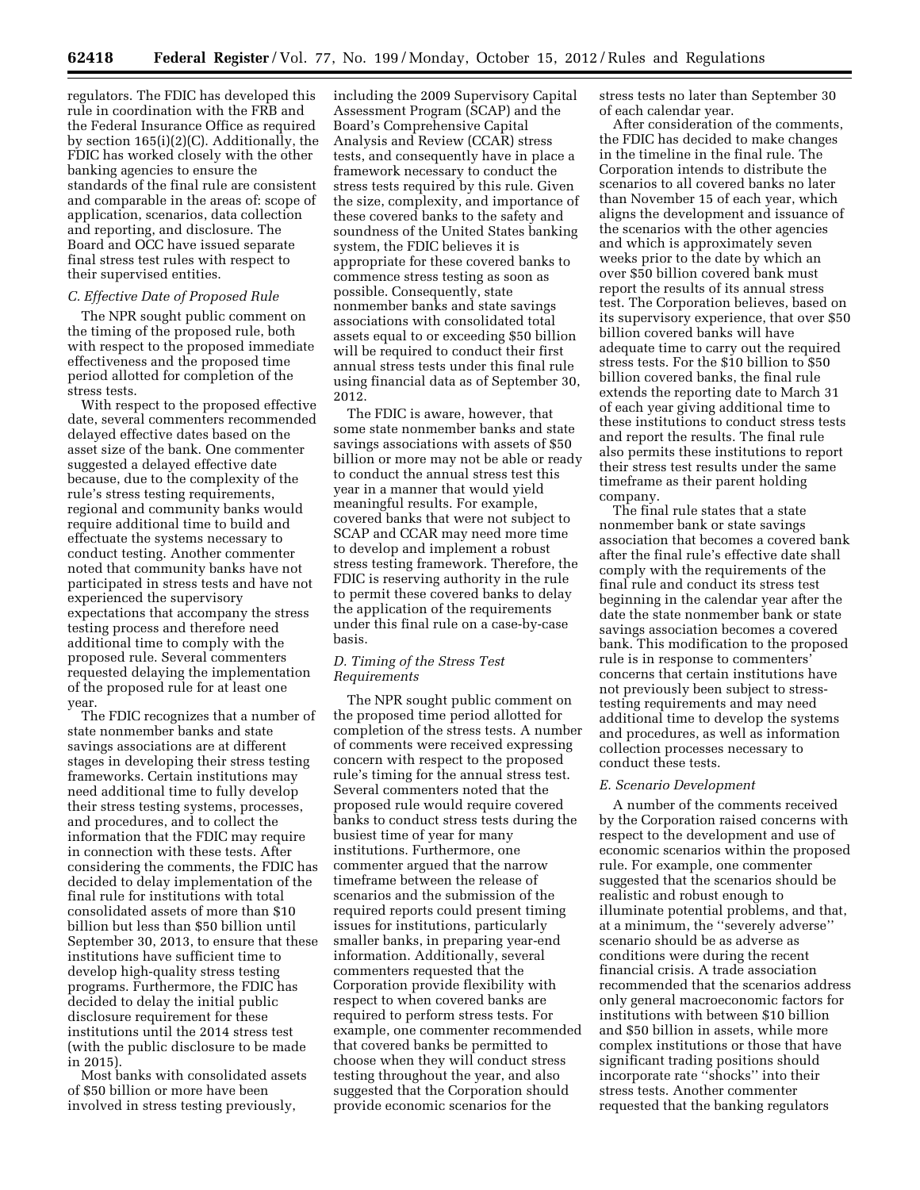regulators. The FDIC has developed this rule in coordination with the FRB and the Federal Insurance Office as required by section 165(i)(2)(C). Additionally, the FDIC has worked closely with the other banking agencies to ensure the standards of the final rule are consistent and comparable in the areas of: scope of application, scenarios, data collection and reporting, and disclosure. The Board and OCC have issued separate final stress test rules with respect to their supervised entities.

## *C. Effective Date of Proposed Rule*

The NPR sought public comment on the timing of the proposed rule, both with respect to the proposed immediate effectiveness and the proposed time period allotted for completion of the stress tests.

With respect to the proposed effective date, several commenters recommended delayed effective dates based on the asset size of the bank. One commenter suggested a delayed effective date because, due to the complexity of the rule's stress testing requirements, regional and community banks would require additional time to build and effectuate the systems necessary to conduct testing. Another commenter noted that community banks have not participated in stress tests and have not experienced the supervisory expectations that accompany the stress testing process and therefore need additional time to comply with the proposed rule. Several commenters requested delaying the implementation of the proposed rule for at least one year.

The FDIC recognizes that a number of state nonmember banks and state savings associations are at different stages in developing their stress testing frameworks. Certain institutions may need additional time to fully develop their stress testing systems, processes, and procedures, and to collect the information that the FDIC may require in connection with these tests. After considering the comments, the FDIC has decided to delay implementation of the final rule for institutions with total consolidated assets of more than \$10 billion but less than \$50 billion until September 30, 2013, to ensure that these institutions have sufficient time to develop high-quality stress testing programs. Furthermore, the FDIC has decided to delay the initial public disclosure requirement for these institutions until the 2014 stress test (with the public disclosure to be made in 2015).

Most banks with consolidated assets of \$50 billion or more have been involved in stress testing previously,

including the 2009 Supervisory Capital Assessment Program (SCAP) and the Board's Comprehensive Capital Analysis and Review (CCAR) stress tests, and consequently have in place a framework necessary to conduct the stress tests required by this rule. Given the size, complexity, and importance of these covered banks to the safety and soundness of the United States banking system, the FDIC believes it is appropriate for these covered banks to commence stress testing as soon as possible. Consequently, state nonmember banks and state savings associations with consolidated total assets equal to or exceeding \$50 billion will be required to conduct their first annual stress tests under this final rule using financial data as of September 30, 2012.

The FDIC is aware, however, that some state nonmember banks and state savings associations with assets of \$50 billion or more may not be able or ready to conduct the annual stress test this year in a manner that would yield meaningful results. For example, covered banks that were not subject to SCAP and CCAR may need more time to develop and implement a robust stress testing framework. Therefore, the FDIC is reserving authority in the rule to permit these covered banks to delay the application of the requirements under this final rule on a case-by-case basis.

## *D. Timing of the Stress Test Requirements*

The NPR sought public comment on the proposed time period allotted for completion of the stress tests. A number of comments were received expressing concern with respect to the proposed rule's timing for the annual stress test. Several commenters noted that the proposed rule would require covered banks to conduct stress tests during the busiest time of year for many institutions. Furthermore, one commenter argued that the narrow timeframe between the release of scenarios and the submission of the required reports could present timing issues for institutions, particularly smaller banks, in preparing year-end information. Additionally, several commenters requested that the Corporation provide flexibility with respect to when covered banks are required to perform stress tests. For example, one commenter recommended that covered banks be permitted to choose when they will conduct stress testing throughout the year, and also suggested that the Corporation should provide economic scenarios for the

stress tests no later than September 30 of each calendar year.

After consideration of the comments, the FDIC has decided to make changes in the timeline in the final rule. The Corporation intends to distribute the scenarios to all covered banks no later than November 15 of each year, which aligns the development and issuance of the scenarios with the other agencies and which is approximately seven weeks prior to the date by which an over \$50 billion covered bank must report the results of its annual stress test. The Corporation believes, based on its supervisory experience, that over \$50 billion covered banks will have adequate time to carry out the required stress tests. For the \$10 billion to \$50 billion covered banks, the final rule extends the reporting date to March 31 of each year giving additional time to these institutions to conduct stress tests and report the results. The final rule also permits these institutions to report their stress test results under the same timeframe as their parent holding company.

The final rule states that a state nonmember bank or state savings association that becomes a covered bank after the final rule's effective date shall comply with the requirements of the final rule and conduct its stress test beginning in the calendar year after the date the state nonmember bank or state savings association becomes a covered bank. This modification to the proposed rule is in response to commenters' concerns that certain institutions have not previously been subject to stresstesting requirements and may need additional time to develop the systems and procedures, as well as information collection processes necessary to conduct these tests.

#### *E. Scenario Development*

A number of the comments received by the Corporation raised concerns with respect to the development and use of economic scenarios within the proposed rule. For example, one commenter suggested that the scenarios should be realistic and robust enough to illuminate potential problems, and that, at a minimum, the ''severely adverse'' scenario should be as adverse as conditions were during the recent financial crisis. A trade association recommended that the scenarios address only general macroeconomic factors for institutions with between \$10 billion and \$50 billion in assets, while more complex institutions or those that have significant trading positions should incorporate rate ''shocks'' into their stress tests. Another commenter requested that the banking regulators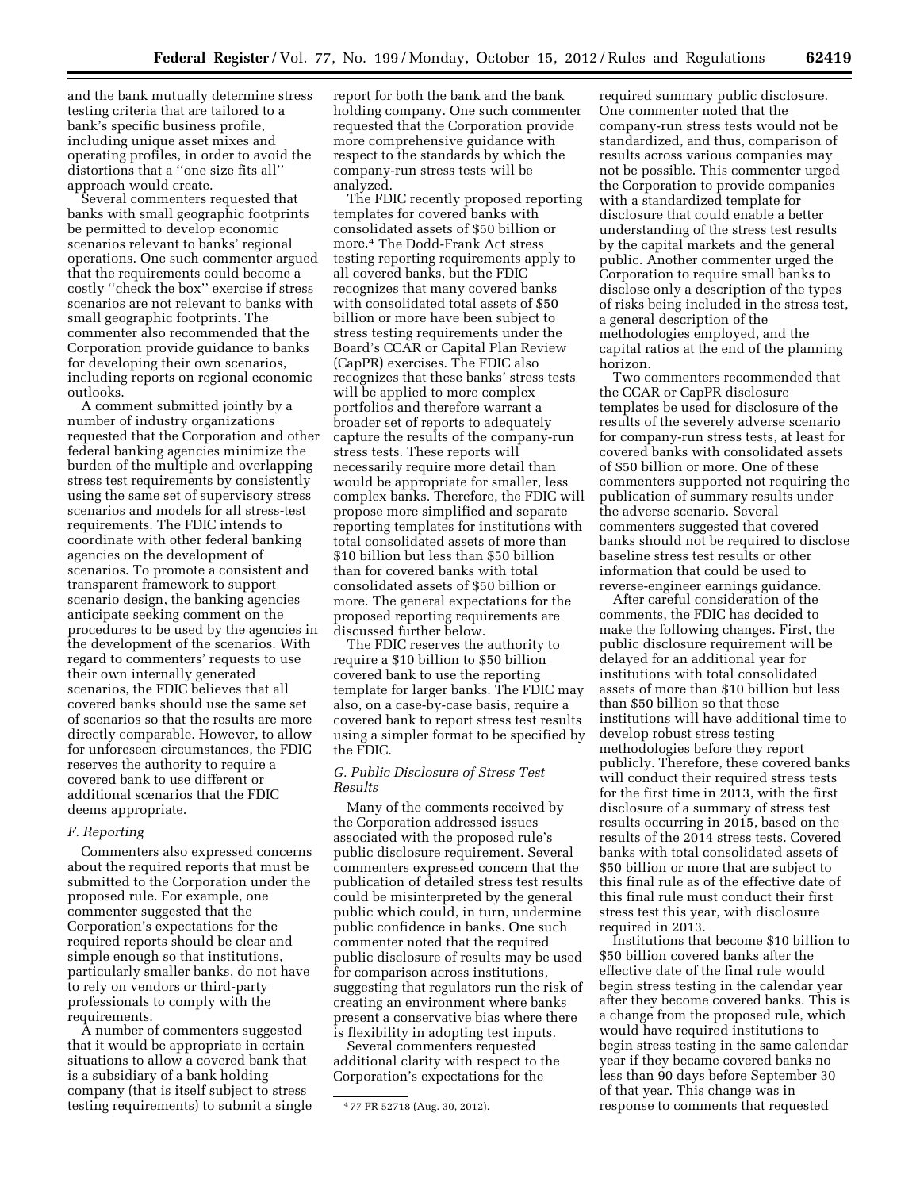and the bank mutually determine stress testing criteria that are tailored to a bank's specific business profile, including unique asset mixes and operating profiles, in order to avoid the distortions that a ''one size fits all'' approach would create.

Several commenters requested that banks with small geographic footprints be permitted to develop economic scenarios relevant to banks' regional operations. One such commenter argued that the requirements could become a costly ''check the box'' exercise if stress scenarios are not relevant to banks with small geographic footprints. The commenter also recommended that the Corporation provide guidance to banks for developing their own scenarios, including reports on regional economic outlooks.

A comment submitted jointly by a number of industry organizations requested that the Corporation and other federal banking agencies minimize the burden of the multiple and overlapping stress test requirements by consistently using the same set of supervisory stress scenarios and models for all stress-test requirements. The FDIC intends to coordinate with other federal banking agencies on the development of scenarios. To promote a consistent and transparent framework to support scenario design, the banking agencies anticipate seeking comment on the procedures to be used by the agencies in the development of the scenarios. With regard to commenters' requests to use their own internally generated scenarios, the FDIC believes that all covered banks should use the same set of scenarios so that the results are more directly comparable. However, to allow for unforeseen circumstances, the FDIC reserves the authority to require a covered bank to use different or additional scenarios that the FDIC deems appropriate.

#### *F. Reporting*

Commenters also expressed concerns about the required reports that must be submitted to the Corporation under the proposed rule. For example, one commenter suggested that the Corporation's expectations for the required reports should be clear and simple enough so that institutions, particularly smaller banks, do not have to rely on vendors or third-party professionals to comply with the requirements.

A number of commenters suggested that it would be appropriate in certain situations to allow a covered bank that is a subsidiary of a bank holding company (that is itself subject to stress testing requirements) to submit a single report for both the bank and the bank holding company. One such commenter requested that the Corporation provide more comprehensive guidance with respect to the standards by which the company-run stress tests will be analyzed.

The FDIC recently proposed reporting templates for covered banks with consolidated assets of \$50 billion or more.4 The Dodd-Frank Act stress testing reporting requirements apply to all covered banks, but the FDIC recognizes that many covered banks with consolidated total assets of \$50 billion or more have been subject to stress testing requirements under the Board's CCAR or Capital Plan Review (CapPR) exercises. The FDIC also recognizes that these banks' stress tests will be applied to more complex portfolios and therefore warrant a broader set of reports to adequately capture the results of the company-run stress tests. These reports will necessarily require more detail than would be appropriate for smaller, less complex banks. Therefore, the FDIC will propose more simplified and separate reporting templates for institutions with total consolidated assets of more than \$10 billion but less than \$50 billion than for covered banks with total consolidated assets of \$50 billion or more. The general expectations for the proposed reporting requirements are discussed further below.

The FDIC reserves the authority to require a \$10 billion to \$50 billion covered bank to use the reporting template for larger banks. The FDIC may also, on a case-by-case basis, require a covered bank to report stress test results using a simpler format to be specified by the FDIC.

#### *G. Public Disclosure of Stress Test Results*

Many of the comments received by the Corporation addressed issues associated with the proposed rule's public disclosure requirement. Several commenters expressed concern that the publication of detailed stress test results could be misinterpreted by the general public which could, in turn, undermine public confidence in banks. One such commenter noted that the required public disclosure of results may be used for comparison across institutions, suggesting that regulators run the risk of creating an environment where banks present a conservative bias where there is flexibility in adopting test inputs.

Several commenters requested additional clarity with respect to the Corporation's expectations for the

required summary public disclosure. One commenter noted that the company-run stress tests would not be standardized, and thus, comparison of results across various companies may not be possible. This commenter urged the Corporation to provide companies with a standardized template for disclosure that could enable a better understanding of the stress test results by the capital markets and the general public. Another commenter urged the Corporation to require small banks to disclose only a description of the types of risks being included in the stress test, a general description of the methodologies employed, and the capital ratios at the end of the planning horizon.

Two commenters recommended that the CCAR or CapPR disclosure templates be used for disclosure of the results of the severely adverse scenario for company-run stress tests, at least for covered banks with consolidated assets of \$50 billion or more. One of these commenters supported not requiring the publication of summary results under the adverse scenario. Several commenters suggested that covered banks should not be required to disclose baseline stress test results or other information that could be used to reverse-engineer earnings guidance.

After careful consideration of the comments, the FDIC has decided to make the following changes. First, the public disclosure requirement will be delayed for an additional year for institutions with total consolidated assets of more than \$10 billion but less than \$50 billion so that these institutions will have additional time to develop robust stress testing methodologies before they report publicly. Therefore, these covered banks will conduct their required stress tests for the first time in 2013, with the first disclosure of a summary of stress test results occurring in 2015, based on the results of the 2014 stress tests. Covered banks with total consolidated assets of \$50 billion or more that are subject to this final rule as of the effective date of this final rule must conduct their first stress test this year, with disclosure required in 2013.

Institutions that become \$10 billion to \$50 billion covered banks after the effective date of the final rule would begin stress testing in the calendar year after they become covered banks. This is a change from the proposed rule, which would have required institutions to begin stress testing in the same calendar year if they became covered banks no less than 90 days before September 30 of that year. This change was in response to comments that requested

<sup>4</sup> 77 FR 52718 (Aug. 30, 2012).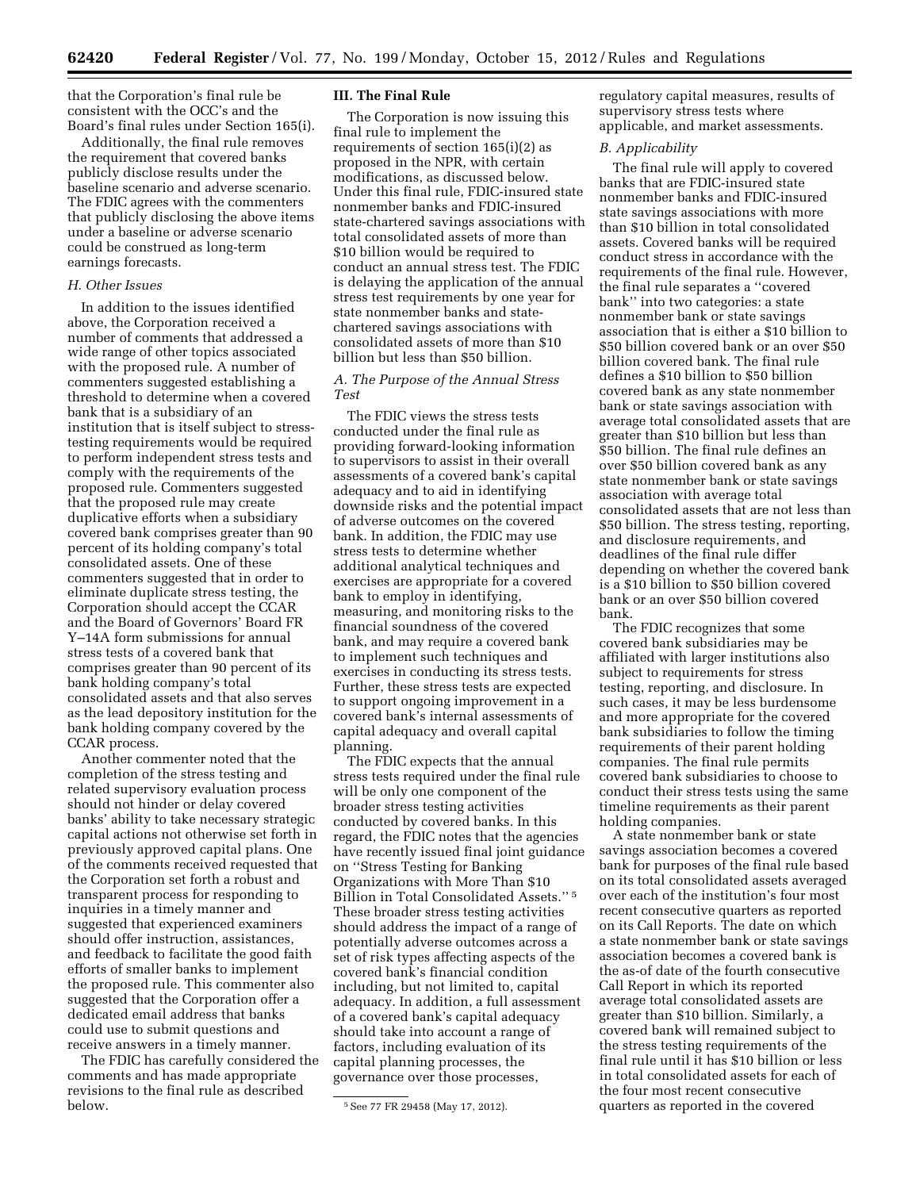that the Corporation's final rule be consistent with the OCC's and the Board's final rules under Section 165(i).

Additionally, the final rule removes the requirement that covered banks publicly disclose results under the baseline scenario and adverse scenario. The FDIC agrees with the commenters that publicly disclosing the above items under a baseline or adverse scenario could be construed as long-term earnings forecasts.

#### *H. Other Issues*

In addition to the issues identified above, the Corporation received a number of comments that addressed a wide range of other topics associated with the proposed rule. A number of commenters suggested establishing a threshold to determine when a covered bank that is a subsidiary of an institution that is itself subject to stresstesting requirements would be required to perform independent stress tests and comply with the requirements of the proposed rule. Commenters suggested that the proposed rule may create duplicative efforts when a subsidiary covered bank comprises greater than 90 percent of its holding company's total consolidated assets. One of these commenters suggested that in order to eliminate duplicate stress testing, the Corporation should accept the CCAR and the Board of Governors' Board FR Y–14A form submissions for annual stress tests of a covered bank that comprises greater than 90 percent of its bank holding company's total consolidated assets and that also serves as the lead depository institution for the bank holding company covered by the CCAR process.

Another commenter noted that the completion of the stress testing and related supervisory evaluation process should not hinder or delay covered banks' ability to take necessary strategic capital actions not otherwise set forth in previously approved capital plans. One of the comments received requested that the Corporation set forth a robust and transparent process for responding to inquiries in a timely manner and suggested that experienced examiners should offer instruction, assistances, and feedback to facilitate the good faith efforts of smaller banks to implement the proposed rule. This commenter also suggested that the Corporation offer a dedicated email address that banks could use to submit questions and receive answers in a timely manner.

The FDIC has carefully considered the comments and has made appropriate revisions to the final rule as described below.

#### **III. The Final Rule**

The Corporation is now issuing this final rule to implement the requirements of section 165(i)(2) as proposed in the NPR, with certain modifications, as discussed below. Under this final rule, FDIC-insured state nonmember banks and FDIC-insured state-chartered savings associations with total consolidated assets of more than \$10 billion would be required to conduct an annual stress test. The FDIC is delaying the application of the annual stress test requirements by one year for state nonmember banks and statechartered savings associations with consolidated assets of more than \$10 billion but less than \$50 billion.

## *A. The Purpose of the Annual Stress Test*

The FDIC views the stress tests conducted under the final rule as providing forward-looking information to supervisors to assist in their overall assessments of a covered bank's capital adequacy and to aid in identifying downside risks and the potential impact of adverse outcomes on the covered bank. In addition, the FDIC may use stress tests to determine whether additional analytical techniques and exercises are appropriate for a covered bank to employ in identifying, measuring, and monitoring risks to the financial soundness of the covered bank, and may require a covered bank to implement such techniques and exercises in conducting its stress tests. Further, these stress tests are expected to support ongoing improvement in a covered bank's internal assessments of capital adequacy and overall capital planning.

The FDIC expects that the annual stress tests required under the final rule will be only one component of the broader stress testing activities conducted by covered banks. In this regard, the FDIC notes that the agencies have recently issued final joint guidance on ''Stress Testing for Banking Organizations with More Than \$10 Billion in Total Consolidated Assets.'' 5 These broader stress testing activities should address the impact of a range of potentially adverse outcomes across a set of risk types affecting aspects of the covered bank's financial condition including, but not limited to, capital adequacy. In addition, a full assessment of a covered bank's capital adequacy should take into account a range of factors, including evaluation of its capital planning processes, the governance over those processes,

regulatory capital measures, results of supervisory stress tests where applicable, and market assessments.

#### *B. Applicability*

The final rule will apply to covered banks that are FDIC-insured state nonmember banks and FDIC-insured state savings associations with more than \$10 billion in total consolidated assets. Covered banks will be required conduct stress in accordance with the requirements of the final rule. However, the final rule separates a ''covered bank'' into two categories: a state nonmember bank or state savings association that is either a \$10 billion to \$50 billion covered bank or an over \$50 billion covered bank. The final rule defines a \$10 billion to \$50 billion covered bank as any state nonmember bank or state savings association with average total consolidated assets that are greater than \$10 billion but less than \$50 billion. The final rule defines an over \$50 billion covered bank as any state nonmember bank or state savings association with average total consolidated assets that are not less than \$50 billion. The stress testing, reporting, and disclosure requirements, and deadlines of the final rule differ depending on whether the covered bank is a \$10 billion to \$50 billion covered bank or an over \$50 billion covered bank.

The FDIC recognizes that some covered bank subsidiaries may be affiliated with larger institutions also subject to requirements for stress testing, reporting, and disclosure. In such cases, it may be less burdensome and more appropriate for the covered bank subsidiaries to follow the timing requirements of their parent holding companies. The final rule permits covered bank subsidiaries to choose to conduct their stress tests using the same timeline requirements as their parent holding companies.

A state nonmember bank or state savings association becomes a covered bank for purposes of the final rule based on its total consolidated assets averaged over each of the institution's four most recent consecutive quarters as reported on its Call Reports. The date on which a state nonmember bank or state savings association becomes a covered bank is the as-of date of the fourth consecutive Call Report in which its reported average total consolidated assets are greater than \$10 billion. Similarly, a covered bank will remained subject to the stress testing requirements of the final rule until it has \$10 billion or less in total consolidated assets for each of the four most recent consecutive quarters as reported in the covered

<sup>5</sup>See 77 FR 29458 (May 17, 2012).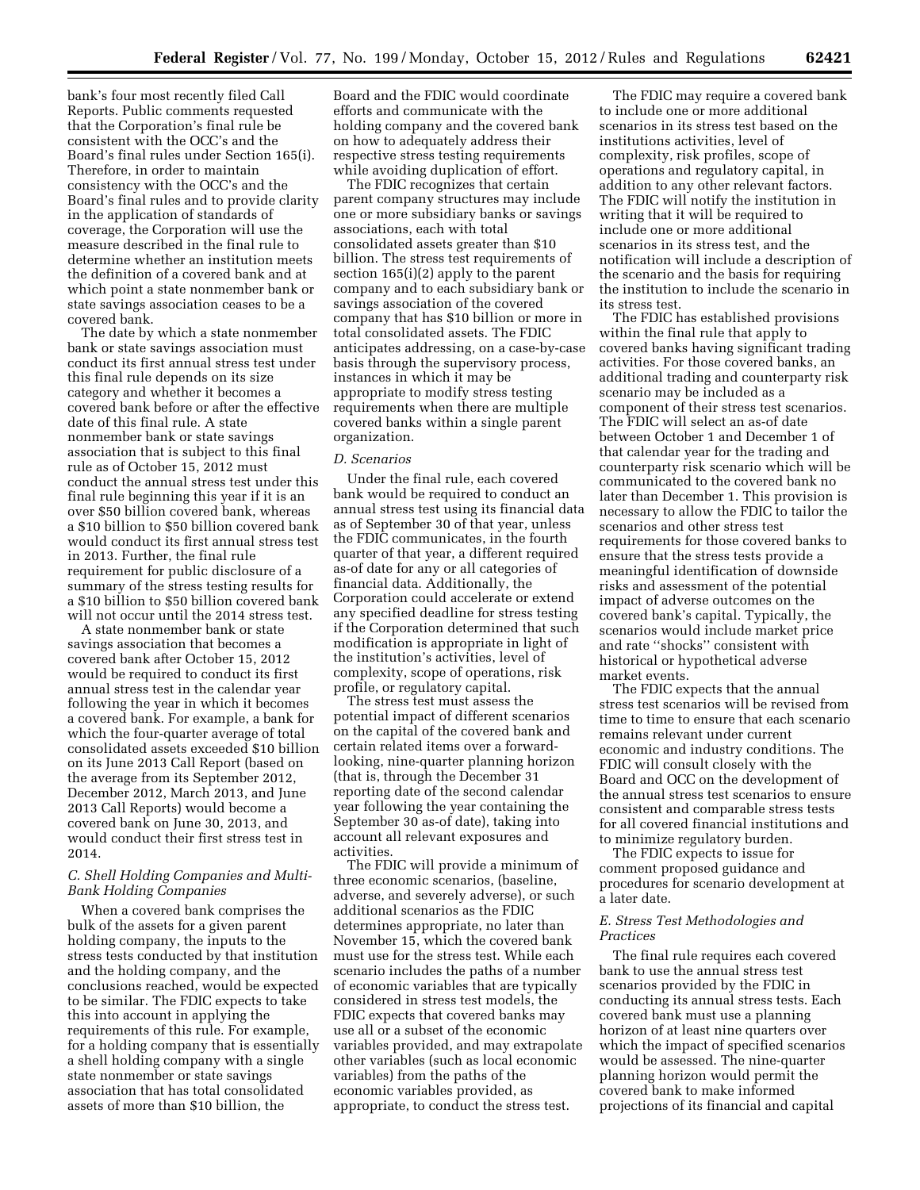bank's four most recently filed Call Reports. Public comments requested that the Corporation's final rule be consistent with the OCC's and the Board's final rules under Section 165(i). Therefore, in order to maintain consistency with the OCC's and the Board's final rules and to provide clarity in the application of standards of coverage, the Corporation will use the measure described in the final rule to determine whether an institution meets the definition of a covered bank and at which point a state nonmember bank or state savings association ceases to be a covered bank.

The date by which a state nonmember bank or state savings association must conduct its first annual stress test under this final rule depends on its size category and whether it becomes a covered bank before or after the effective date of this final rule. A state nonmember bank or state savings association that is subject to this final rule as of October 15, 2012 must conduct the annual stress test under this final rule beginning this year if it is an over \$50 billion covered bank, whereas a \$10 billion to \$50 billion covered bank would conduct its first annual stress test in 2013. Further, the final rule requirement for public disclosure of a summary of the stress testing results for a \$10 billion to \$50 billion covered bank will not occur until the 2014 stress test.

A state nonmember bank or state savings association that becomes a covered bank after October 15, 2012 would be required to conduct its first annual stress test in the calendar year following the year in which it becomes a covered bank. For example, a bank for which the four-quarter average of total consolidated assets exceeded \$10 billion on its June 2013 Call Report (based on the average from its September 2012, December 2012, March 2013, and June 2013 Call Reports) would become a covered bank on June 30, 2013, and would conduct their first stress test in 2014.

## *C. Shell Holding Companies and Multi-Bank Holding Companies*

When a covered bank comprises the bulk of the assets for a given parent holding company, the inputs to the stress tests conducted by that institution and the holding company, and the conclusions reached, would be expected to be similar. The FDIC expects to take this into account in applying the requirements of this rule. For example, for a holding company that is essentially a shell holding company with a single state nonmember or state savings association that has total consolidated assets of more than \$10 billion, the

Board and the FDIC would coordinate efforts and communicate with the holding company and the covered bank on how to adequately address their respective stress testing requirements while avoiding duplication of effort.

The FDIC recognizes that certain parent company structures may include one or more subsidiary banks or savings associations, each with total consolidated assets greater than \$10 billion. The stress test requirements of section 165(i)(2) apply to the parent company and to each subsidiary bank or savings association of the covered company that has \$10 billion or more in total consolidated assets. The FDIC anticipates addressing, on a case-by-case basis through the supervisory process, instances in which it may be appropriate to modify stress testing requirements when there are multiple covered banks within a single parent organization.

#### *D. Scenarios*

Under the final rule, each covered bank would be required to conduct an annual stress test using its financial data as of September 30 of that year, unless the FDIC communicates, in the fourth quarter of that year, a different required as-of date for any or all categories of financial data. Additionally, the Corporation could accelerate or extend any specified deadline for stress testing if the Corporation determined that such modification is appropriate in light of the institution's activities, level of complexity, scope of operations, risk profile, or regulatory capital.

The stress test must assess the potential impact of different scenarios on the capital of the covered bank and certain related items over a forwardlooking, nine-quarter planning horizon (that is, through the December 31 reporting date of the second calendar year following the year containing the September 30 as-of date), taking into account all relevant exposures and activities.

The FDIC will provide a minimum of three economic scenarios, (baseline, adverse, and severely adverse), or such additional scenarios as the FDIC determines appropriate, no later than November 15, which the covered bank must use for the stress test. While each scenario includes the paths of a number of economic variables that are typically considered in stress test models, the FDIC expects that covered banks may use all or a subset of the economic variables provided, and may extrapolate other variables (such as local economic variables) from the paths of the economic variables provided, as appropriate, to conduct the stress test.

The FDIC may require a covered bank to include one or more additional scenarios in its stress test based on the institutions activities, level of complexity, risk profiles, scope of operations and regulatory capital, in addition to any other relevant factors. The FDIC will notify the institution in writing that it will be required to include one or more additional scenarios in its stress test, and the notification will include a description of the scenario and the basis for requiring the institution to include the scenario in its stress test.

The FDIC has established provisions within the final rule that apply to covered banks having significant trading activities. For those covered banks, an additional trading and counterparty risk scenario may be included as a component of their stress test scenarios. The FDIC will select an as-of date between October 1 and December 1 of that calendar year for the trading and counterparty risk scenario which will be communicated to the covered bank no later than December 1. This provision is necessary to allow the FDIC to tailor the scenarios and other stress test requirements for those covered banks to ensure that the stress tests provide a meaningful identification of downside risks and assessment of the potential impact of adverse outcomes on the covered bank's capital. Typically, the scenarios would include market price and rate ''shocks'' consistent with historical or hypothetical adverse market events.

The FDIC expects that the annual stress test scenarios will be revised from time to time to ensure that each scenario remains relevant under current economic and industry conditions. The FDIC will consult closely with the Board and OCC on the development of the annual stress test scenarios to ensure consistent and comparable stress tests for all covered financial institutions and to minimize regulatory burden.

The FDIC expects to issue for comment proposed guidance and procedures for scenario development at a later date.

#### *E. Stress Test Methodologies and Practices*

The final rule requires each covered bank to use the annual stress test scenarios provided by the FDIC in conducting its annual stress tests. Each covered bank must use a planning horizon of at least nine quarters over which the impact of specified scenarios would be assessed. The nine-quarter planning horizon would permit the covered bank to make informed projections of its financial and capital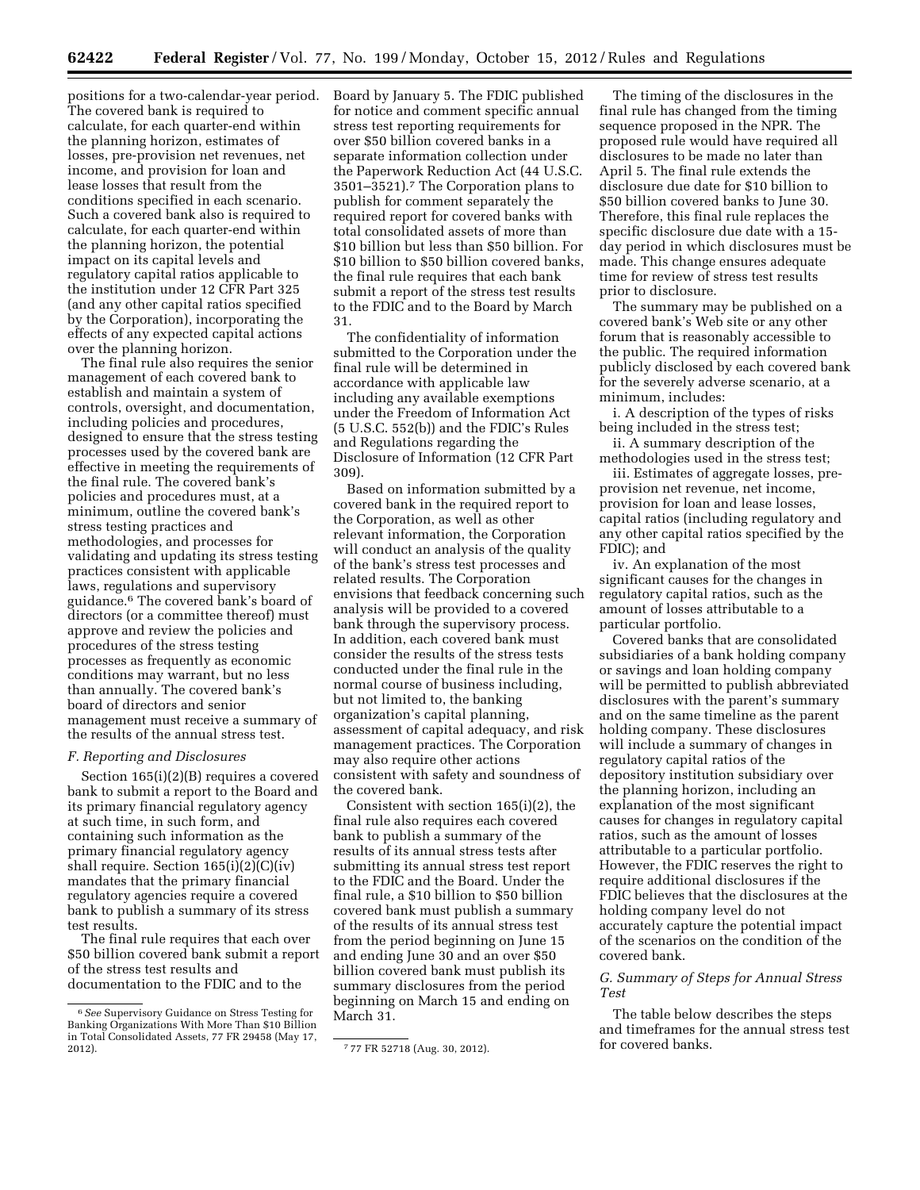positions for a two-calendar-year period. The covered bank is required to calculate, for each quarter-end within the planning horizon, estimates of losses, pre-provision net revenues, net income, and provision for loan and lease losses that result from the conditions specified in each scenario. Such a covered bank also is required to calculate, for each quarter-end within the planning horizon, the potential impact on its capital levels and regulatory capital ratios applicable to the institution under 12 CFR Part 325 (and any other capital ratios specified by the Corporation), incorporating the effects of any expected capital actions over the planning horizon.

The final rule also requires the senior management of each covered bank to establish and maintain a system of controls, oversight, and documentation, including policies and procedures, designed to ensure that the stress testing processes used by the covered bank are effective in meeting the requirements of the final rule. The covered bank's policies and procedures must, at a minimum, outline the covered bank's stress testing practices and methodologies, and processes for validating and updating its stress testing practices consistent with applicable laws, regulations and supervisory guidance.6 The covered bank's board of directors (or a committee thereof) must approve and review the policies and procedures of the stress testing processes as frequently as economic conditions may warrant, but no less than annually. The covered bank's board of directors and senior management must receive a summary of the results of the annual stress test.

#### *F. Reporting and Disclosures*

Section 165(i)(2)(B) requires a covered bank to submit a report to the Board and its primary financial regulatory agency at such time, in such form, and containing such information as the primary financial regulatory agency shall require. Section  $165(i)(2)(i)(iv)$ mandates that the primary financial regulatory agencies require a covered bank to publish a summary of its stress test results.

The final rule requires that each over \$50 billion covered bank submit a report of the stress test results and documentation to the FDIC and to the

Board by January 5. The FDIC published for notice and comment specific annual stress test reporting requirements for over \$50 billion covered banks in a separate information collection under the Paperwork Reduction Act (44 U.S.C. 3501–3521).7 The Corporation plans to publish for comment separately the required report for covered banks with total consolidated assets of more than \$10 billion but less than \$50 billion. For \$10 billion to \$50 billion covered banks, the final rule requires that each bank submit a report of the stress test results to the FDIC and to the Board by March 31.

The confidentiality of information submitted to the Corporation under the final rule will be determined in accordance with applicable law including any available exemptions under the Freedom of Information Act (5 U.S.C. 552(b)) and the FDIC's Rules and Regulations regarding the Disclosure of Information (12 CFR Part 309).

Based on information submitted by a covered bank in the required report to the Corporation, as well as other relevant information, the Corporation will conduct an analysis of the quality of the bank's stress test processes and related results. The Corporation envisions that feedback concerning such analysis will be provided to a covered bank through the supervisory process. In addition, each covered bank must consider the results of the stress tests conducted under the final rule in the normal course of business including, but not limited to, the banking organization's capital planning, assessment of capital adequacy, and risk management practices. The Corporation may also require other actions consistent with safety and soundness of the covered bank.

Consistent with section 165(i)(2), the final rule also requires each covered bank to publish a summary of the results of its annual stress tests after submitting its annual stress test report to the FDIC and the Board. Under the final rule, a \$10 billion to \$50 billion covered bank must publish a summary of the results of its annual stress test from the period beginning on June 15 and ending June 30 and an over \$50 billion covered bank must publish its summary disclosures from the period beginning on March 15 and ending on March 31.

The timing of the disclosures in the final rule has changed from the timing sequence proposed in the NPR. The proposed rule would have required all disclosures to be made no later than April 5. The final rule extends the disclosure due date for \$10 billion to \$50 billion covered banks to June 30. Therefore, this final rule replaces the specific disclosure due date with a 15 day period in which disclosures must be made. This change ensures adequate time for review of stress test results prior to disclosure.

The summary may be published on a covered bank's Web site or any other forum that is reasonably accessible to the public. The required information publicly disclosed by each covered bank for the severely adverse scenario, at a minimum, includes:

i. A description of the types of risks being included in the stress test;

ii. A summary description of the methodologies used in the stress test;

iii. Estimates of aggregate losses, preprovision net revenue, net income, provision for loan and lease losses, capital ratios (including regulatory and any other capital ratios specified by the FDIC); and

iv. An explanation of the most significant causes for the changes in regulatory capital ratios, such as the amount of losses attributable to a particular portfolio.

Covered banks that are consolidated subsidiaries of a bank holding company or savings and loan holding company will be permitted to publish abbreviated disclosures with the parent's summary and on the same timeline as the parent holding company. These disclosures will include a summary of changes in regulatory capital ratios of the depository institution subsidiary over the planning horizon, including an explanation of the most significant causes for changes in regulatory capital ratios, such as the amount of losses attributable to a particular portfolio. However, the FDIC reserves the right to require additional disclosures if the FDIC believes that the disclosures at the holding company level do not accurately capture the potential impact of the scenarios on the condition of the covered bank.

## *G. Summary of Steps for Annual Stress Test*

The table below describes the steps and timeframes for the annual stress test for covered banks.

<sup>6</sup>*See* Supervisory Guidance on Stress Testing for Banking Organizations With More Than \$10 Billion in Total Consolidated Assets, 77 FR 29458 (May 17,<br>2012).

<sup>777</sup> FR 52718 (Aug. 30, 2012).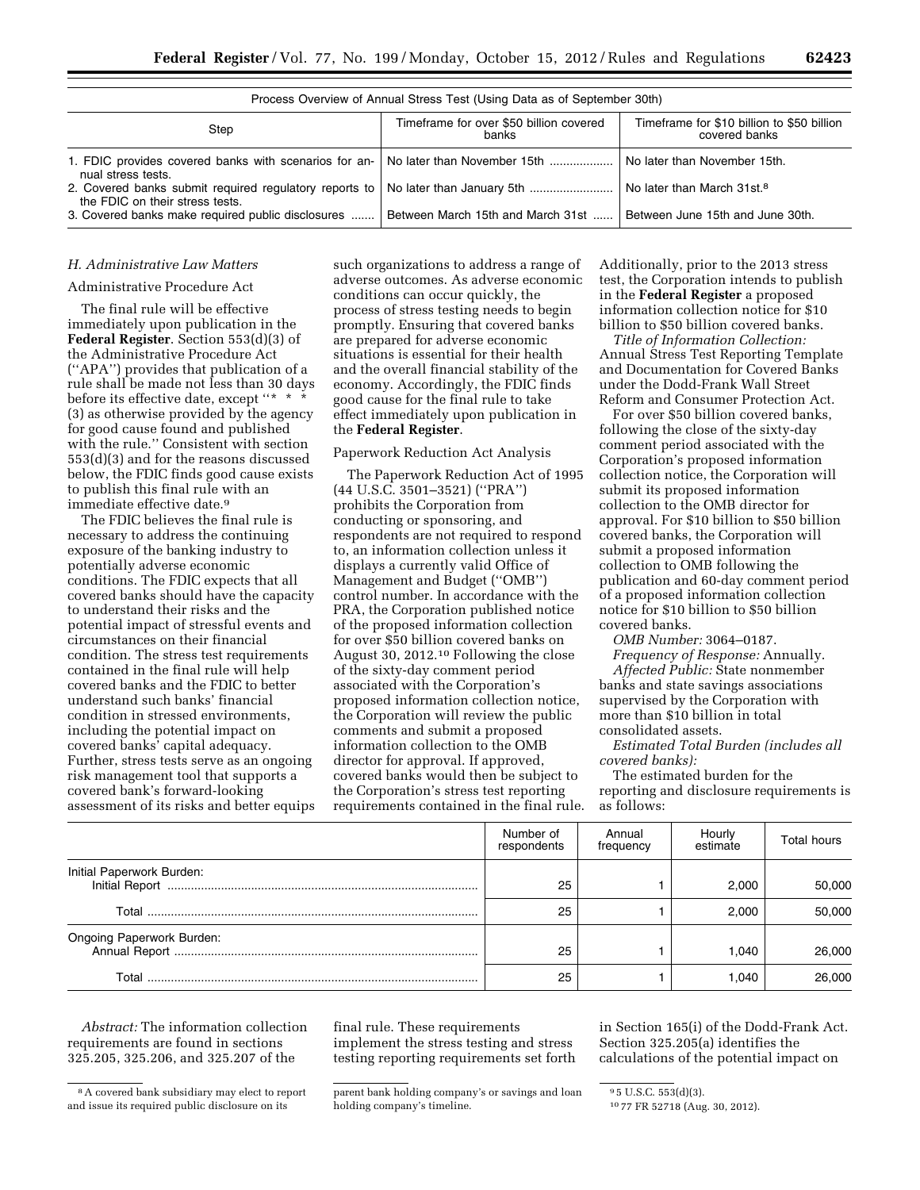| Process Overview of Annual Stress Test (Using Data as of September 30th)                                              |                                                         |                                                             |  |  |
|-----------------------------------------------------------------------------------------------------------------------|---------------------------------------------------------|-------------------------------------------------------------|--|--|
| Step                                                                                                                  | Timeframe for over \$50 billion covered<br><b>banks</b> | Timeframe for \$10 billion to \$50 billion<br>covered banks |  |  |
| 1. FDIC provides covered banks with scenarios for an-   No later than November 15th<br>nual stress tests.             |                                                         | No later than November 15th.                                |  |  |
| 2. Covered banks submit required requlatory reports to   No later than January 5th<br>the FDIC on their stress tests. |                                                         | No later than March 31st. <sup>8</sup>                      |  |  |
| 3. Covered banks make required public disclosures                                                                     | Between March 15th and March 31st                       | Between June 15th and June 30th.                            |  |  |

#### *H. Administrative Law Matters*

## Administrative Procedure Act

The final rule will be effective immediately upon publication in the **Federal Register**. Section 553(d)(3) of the Administrative Procedure Act (''APA'') provides that publication of a rule shall be made not less than 30 days before its effective date, except ''\* \* \* (3) as otherwise provided by the agency for good cause found and published with the rule.'' Consistent with section 553(d)(3) and for the reasons discussed below, the FDIC finds good cause exists to publish this final rule with an immediate effective date.9

The FDIC believes the final rule is necessary to address the continuing exposure of the banking industry to potentially adverse economic conditions. The FDIC expects that all covered banks should have the capacity to understand their risks and the potential impact of stressful events and circumstances on their financial condition. The stress test requirements contained in the final rule will help covered banks and the FDIC to better understand such banks' financial condition in stressed environments, including the potential impact on covered banks' capital adequacy. Further, stress tests serve as an ongoing risk management tool that supports a covered bank's forward-looking assessment of its risks and better equips such organizations to address a range of adverse outcomes. As adverse economic conditions can occur quickly, the process of stress testing needs to begin promptly. Ensuring that covered banks are prepared for adverse economic situations is essential for their health and the overall financial stability of the economy. Accordingly, the FDIC finds good cause for the final rule to take effect immediately upon publication in the **Federal Register**.

#### Paperwork Reduction Act Analysis

The Paperwork Reduction Act of 1995 (44 U.S.C. 3501–3521) (''PRA'') prohibits the Corporation from conducting or sponsoring, and respondents are not required to respond to, an information collection unless it displays a currently valid Office of Management and Budget (''OMB'') control number. In accordance with the PRA, the Corporation published notice of the proposed information collection for over \$50 billion covered banks on August 30, 2012.10 Following the close of the sixty-day comment period associated with the Corporation's proposed information collection notice, the Corporation will review the public comments and submit a proposed information collection to the OMB director for approval. If approved, covered banks would then be subject to the Corporation's stress test reporting requirements contained in the final rule.

Additionally, prior to the 2013 stress test, the Corporation intends to publish in the **Federal Register** a proposed information collection notice for \$10 billion to \$50 billion covered banks.

*Title of Information Collection:*  Annual Stress Test Reporting Template and Documentation for Covered Banks under the Dodd-Frank Wall Street Reform and Consumer Protection Act.

For over \$50 billion covered banks, following the close of the sixty-day comment period associated with the Corporation's proposed information collection notice, the Corporation will submit its proposed information collection to the OMB director for approval. For \$10 billion to \$50 billion covered banks, the Corporation will submit a proposed information collection to OMB following the publication and 60-day comment period of a proposed information collection notice for \$10 billion to \$50 billion covered banks.

*OMB Number:* 3064–0187. *Frequency of Response:* Annually.

*Affected Public:* State nonmember banks and state savings associations supervised by the Corporation with more than \$10 billion in total consolidated assets.

*Estimated Total Burden (includes all covered banks):* 

The estimated burden for the reporting and disclosure requirements is as follows:

|                           | Number of<br>respondents | Annual<br>frequency | Hourly<br>estimate | Total hours |
|---------------------------|--------------------------|---------------------|--------------------|-------------|
| Initial Paperwork Burden: | 25                       |                     | 2.000              | 50.000      |
|                           | 25                       |                     | 2.000              | 50,000      |
| Ongoing Paperwork Burden: | 25                       |                     | 1.040              | 26,000      |
|                           | 25                       |                     | 1.040              | 26,000      |

*Abstract:* The information collection requirements are found in sections 325.205, 325.206, and 325.207 of the

final rule. These requirements implement the stress testing and stress testing reporting requirements set forth in Section 165(i) of the Dodd-Frank Act. Section 325.205(a) identifies the calculations of the potential impact on

<sup>8</sup>A covered bank subsidiary may elect to report and issue its required public disclosure on its

parent bank holding company's or savings and loan holding company's timeline.

<sup>9</sup> 5 U.S.C. 553(d)(3).

<sup>10</sup> 77 FR 52718 (Aug. 30, 2012).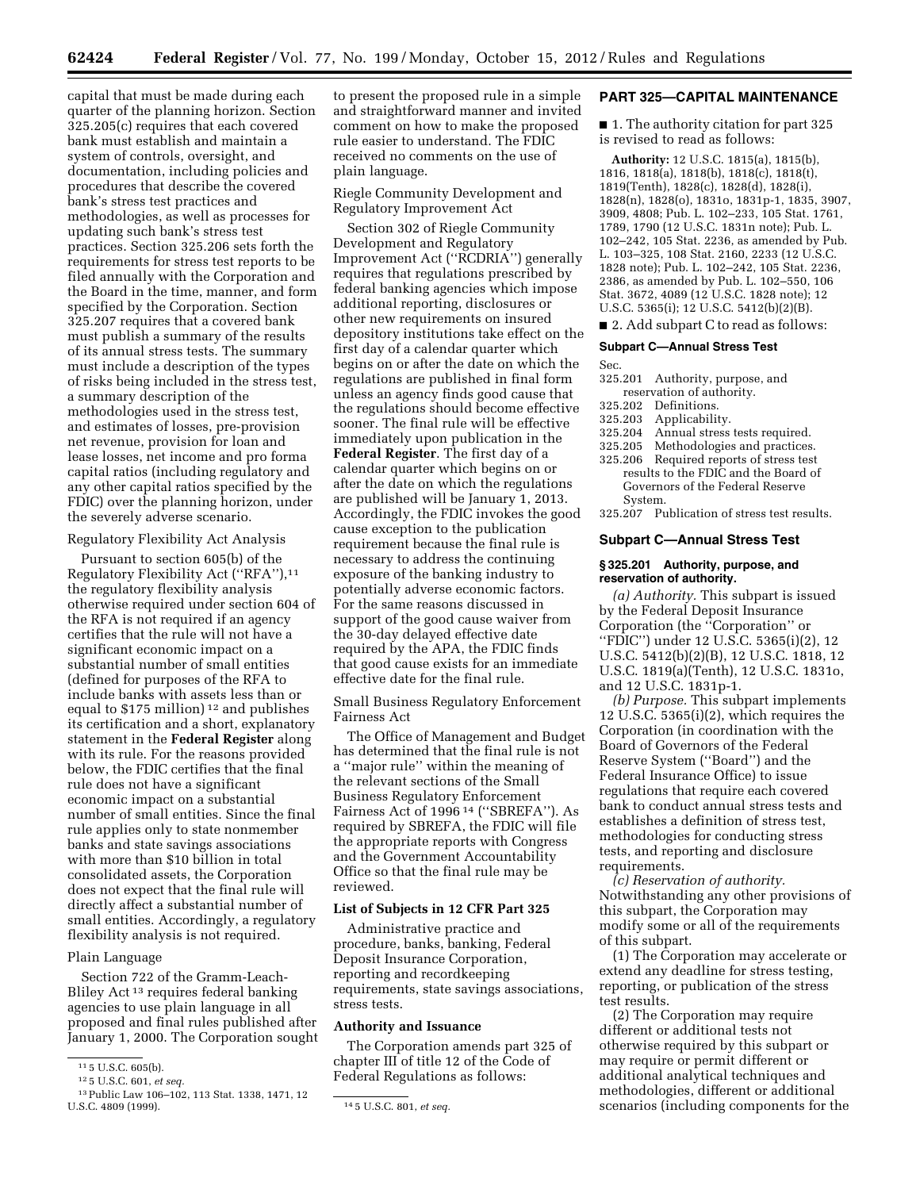capital that must be made during each quarter of the planning horizon. Section 325.205(c) requires that each covered bank must establish and maintain a system of controls, oversight, and documentation, including policies and procedures that describe the covered bank's stress test practices and methodologies, as well as processes for updating such bank's stress test practices. Section 325.206 sets forth the requirements for stress test reports to be filed annually with the Corporation and the Board in the time, manner, and form specified by the Corporation. Section 325.207 requires that a covered bank must publish a summary of the results of its annual stress tests. The summary must include a description of the types of risks being included in the stress test, a summary description of the methodologies used in the stress test, and estimates of losses, pre-provision net revenue, provision for loan and lease losses, net income and pro forma capital ratios (including regulatory and any other capital ratios specified by the FDIC) over the planning horizon, under the severely adverse scenario.

#### Regulatory Flexibility Act Analysis

Pursuant to section 605(b) of the Regulatory Flexibility Act (''RFA''),11 the regulatory flexibility analysis otherwise required under section 604 of the RFA is not required if an agency certifies that the rule will not have a significant economic impact on a substantial number of small entities (defined for purposes of the RFA to include banks with assets less than or equal to \$175 million) 12 and publishes its certification and a short, explanatory statement in the **Federal Register** along with its rule. For the reasons provided below, the FDIC certifies that the final rule does not have a significant economic impact on a substantial number of small entities. Since the final rule applies only to state nonmember banks and state savings associations with more than \$10 billion in total consolidated assets, the Corporation does not expect that the final rule will directly affect a substantial number of small entities. Accordingly, a regulatory flexibility analysis is not required.

#### Plain Language

Section 722 of the Gramm-Leach-Bliley Act 13 requires federal banking agencies to use plain language in all proposed and final rules published after January 1, 2000. The Corporation sought

to present the proposed rule in a simple and straightforward manner and invited comment on how to make the proposed rule easier to understand. The FDIC received no comments on the use of plain language.

Riegle Community Development and Regulatory Improvement Act

Section 302 of Riegle Community Development and Regulatory Improvement Act (''RCDRIA'') generally requires that regulations prescribed by federal banking agencies which impose additional reporting, disclosures or other new requirements on insured depository institutions take effect on the first day of a calendar quarter which begins on or after the date on which the regulations are published in final form unless an agency finds good cause that the regulations should become effective sooner. The final rule will be effective immediately upon publication in the **Federal Register**. The first day of a calendar quarter which begins on or after the date on which the regulations are published will be January 1, 2013. Accordingly, the FDIC invokes the good cause exception to the publication requirement because the final rule is necessary to address the continuing exposure of the banking industry to potentially adverse economic factors. For the same reasons discussed in support of the good cause waiver from the 30-day delayed effective date required by the APA, the FDIC finds that good cause exists for an immediate effective date for the final rule.

Small Business Regulatory Enforcement Fairness Act

The Office of Management and Budget has determined that the final rule is not a ''major rule'' within the meaning of the relevant sections of the Small Business Regulatory Enforcement Fairness Act of 1996<sup>14</sup> ("SBREFA"). As required by SBREFA, the FDIC will file the appropriate reports with Congress and the Government Accountability Office so that the final rule may be reviewed.

## **List of Subjects in 12 CFR Part 325**

Administrative practice and procedure, banks, banking, Federal Deposit Insurance Corporation, reporting and recordkeeping requirements, state savings associations, stress tests.

## **Authority and Issuance**

The Corporation amends part 325 of chapter III of title 12 of the Code of Federal Regulations as follows:

#### **PART 325—CAPITAL MAINTENANCE**

■ 1. The authority citation for part 325 is revised to read as follows:

**Authority:** 12 U.S.C. 1815(a), 1815(b), 1816, 1818(a), 1818(b), 1818(c), 1818(t), 1819(Tenth), 1828(c), 1828(d), 1828(i), 1828(n), 1828(o), 1831o, 1831p-1, 1835, 3907, 3909, 4808; Pub. L. 102–233, 105 Stat. 1761, 1789, 1790 (12 U.S.C. 1831n note); Pub. L. 102–242, 105 Stat. 2236, as amended by Pub. L. 103–325, 108 Stat. 2160, 2233 (12 U.S.C. 1828 note); Pub. L. 102–242, 105 Stat. 2236, 2386, as amended by Pub. L. 102–550, 106 Stat. 3672, 4089 (12 U.S.C. 1828 note); 12 U.S.C. 5365(i); 12 U.S.C. 5412(b)(2)(B).

■ 2. Add subpart C to read as follows:

#### **Subpart C—Annual Stress Test**

Sec.

- 325.201 Authority, purpose, and reservation of authority.
- 
- 325.202 Definitions.<br>325.203 Applicabilit
- 325.203 Applicability.
- 325.204 Annual stress tests required.<br>325.205 Methodologies and practices
- 325.205 Methodologies and practices.<br>325.206 Required reports of stress test Required reports of stress test results to the FDIC and the Board of Governors of the Federal Reserve System.

325.207 Publication of stress test results.

#### **Subpart C—Annual Stress Test**

#### **§ 325.201 Authority, purpose, and reservation of authority.**

*(a) Authority.* This subpart is issued by the Federal Deposit Insurance Corporation (the ''Corporation'' or ''FDIC'') under 12 U.S.C. 5365(i)(2), 12 U.S.C. 5412(b)(2)(B), 12 U.S.C. 1818, 12 U.S.C. 1819(a)(Tenth), 12 U.S.C. 1831o, and 12 U.S.C. 1831p-1.

*(b) Purpose.* This subpart implements 12 U.S.C. 5365(i)(2), which requires the Corporation (in coordination with the Board of Governors of the Federal Reserve System (''Board'') and the Federal Insurance Office) to issue regulations that require each covered bank to conduct annual stress tests and establishes a definition of stress test, methodologies for conducting stress tests, and reporting and disclosure requirements.

*(c) Reservation of authority.*  Notwithstanding any other provisions of this subpart, the Corporation may modify some or all of the requirements of this subpart.

(1) The Corporation may accelerate or extend any deadline for stress testing, reporting, or publication of the stress test results.

(2) The Corporation may require different or additional tests not otherwise required by this subpart or may require or permit different or additional analytical techniques and methodologies, different or additional scenarios (including components for the

<sup>11</sup> 5 U.S.C. 605(b).

<sup>12</sup> 5 U.S.C. 601, *et seq.* 

<sup>&</sup>lt;sup>13</sup> Public Law 106–102, 113 Stat. 1338, 1471, 12<br>U.S.C. 4809 (1999).

<sup>14 5</sup> U.S.C. 801, *et seq.*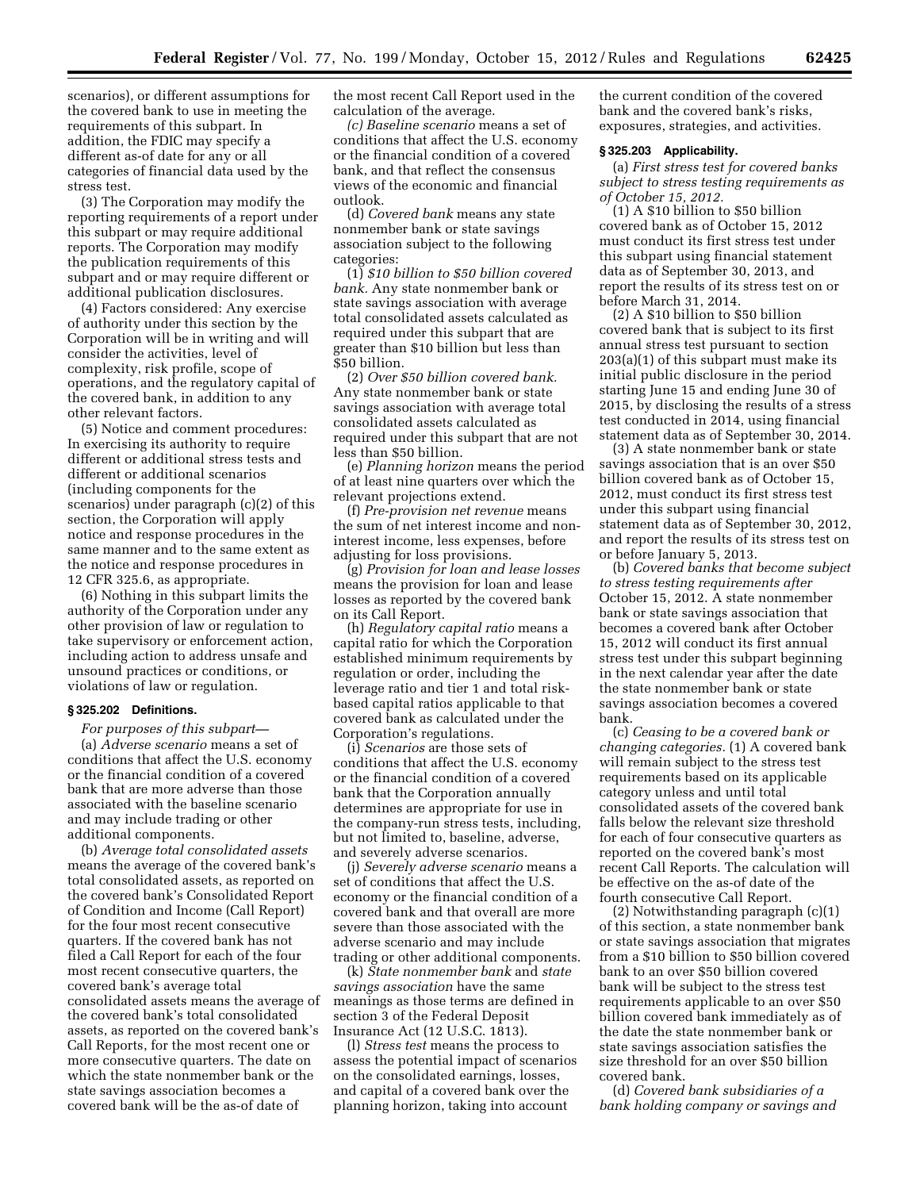scenarios), or different assumptions for the covered bank to use in meeting the requirements of this subpart. In addition, the FDIC may specify a different as-of date for any or all categories of financial data used by the stress test.

(3) The Corporation may modify the reporting requirements of a report under this subpart or may require additional reports. The Corporation may modify the publication requirements of this subpart and or may require different or additional publication disclosures.

(4) Factors considered: Any exercise of authority under this section by the Corporation will be in writing and will consider the activities, level of complexity, risk profile, scope of operations, and the regulatory capital of the covered bank, in addition to any other relevant factors.

(5) Notice and comment procedures: In exercising its authority to require different or additional stress tests and different or additional scenarios (including components for the scenarios) under paragraph (c)(2) of this section, the Corporation will apply notice and response procedures in the same manner and to the same extent as the notice and response procedures in 12 CFR 325.6, as appropriate.

(6) Nothing in this subpart limits the authority of the Corporation under any other provision of law or regulation to take supervisory or enforcement action, including action to address unsafe and unsound practices or conditions, or violations of law or regulation.

#### **§ 325.202 Definitions.**

*For purposes of this subpart—*  (a) *Adverse scenario* means a set of conditions that affect the U.S. economy or the financial condition of a covered bank that are more adverse than those associated with the baseline scenario and may include trading or other additional components.

(b) *Average total consolidated assets*  means the average of the covered bank's total consolidated assets, as reported on the covered bank's Consolidated Report of Condition and Income (Call Report) for the four most recent consecutive quarters. If the covered bank has not filed a Call Report for each of the four most recent consecutive quarters, the covered bank's average total consolidated assets means the average of the covered bank's total consolidated assets, as reported on the covered bank's Call Reports, for the most recent one or more consecutive quarters. The date on which the state nonmember bank or the state savings association becomes a covered bank will be the as-of date of

the most recent Call Report used in the calculation of the average.

*(c) Baseline scenario* means a set of conditions that affect the U.S. economy or the financial condition of a covered bank, and that reflect the consensus views of the economic and financial outlook.

(d) *Covered bank* means any state nonmember bank or state savings association subject to the following categories:

(1) *\$10 billion to \$50 billion covered bank.* Any state nonmember bank or state savings association with average total consolidated assets calculated as required under this subpart that are greater than \$10 billion but less than \$50 billion.

(2) *Over \$50 billion covered bank.*  Any state nonmember bank or state savings association with average total consolidated assets calculated as required under this subpart that are not less than \$50 billion.

(e) *Planning horizon* means the period of at least nine quarters over which the relevant projections extend.

(f) *Pre-provision net revenue* means the sum of net interest income and noninterest income, less expenses, before adjusting for loss provisions.

(g) *Provision for loan and lease losses*  means the provision for loan and lease losses as reported by the covered bank on its Call Report.

(h) *Regulatory capital ratio* means a capital ratio for which the Corporation established minimum requirements by regulation or order, including the leverage ratio and tier 1 and total riskbased capital ratios applicable to that covered bank as calculated under the Corporation's regulations.

(i) *Scenarios* are those sets of conditions that affect the U.S. economy or the financial condition of a covered bank that the Corporation annually determines are appropriate for use in the company-run stress tests, including, but not limited to, baseline, adverse, and severely adverse scenarios.

(j) *Severely adverse scenario* means a set of conditions that affect the U.S. economy or the financial condition of a covered bank and that overall are more severe than those associated with the adverse scenario and may include trading or other additional components.

(k) *State nonmember bank* and *state savings association* have the same meanings as those terms are defined in section 3 of the Federal Deposit Insurance Act (12 U.S.C. 1813).

(l) *Stress test* means the process to assess the potential impact of scenarios on the consolidated earnings, losses, and capital of a covered bank over the planning horizon, taking into account

the current condition of the covered bank and the covered bank's risks, exposures, strategies, and activities.

#### **§ 325.203 Applicability.**

(a) *First stress test for covered banks subject to stress testing requirements as of October 15, 2012.* 

(1) A \$10 billion to \$50 billion covered bank as of October 15, 2012 must conduct its first stress test under this subpart using financial statement data as of September 30, 2013, and report the results of its stress test on or before March 31, 2014.

(2) A \$10 billion to \$50 billion covered bank that is subject to its first annual stress test pursuant to section 203(a)(1) of this subpart must make its initial public disclosure in the period starting June 15 and ending June 30 of 2015, by disclosing the results of a stress test conducted in 2014, using financial statement data as of September 30, 2014.

(3) A state nonmember bank or state savings association that is an over \$50 billion covered bank as of October 15, 2012, must conduct its first stress test under this subpart using financial statement data as of September 30, 2012, and report the results of its stress test on or before January 5, 2013.

(b) *Covered banks that become subject to stress testing requirements after*  October 15, 2012. A state nonmember bank or state savings association that becomes a covered bank after October 15, 2012 will conduct its first annual stress test under this subpart beginning in the next calendar year after the date the state nonmember bank or state savings association becomes a covered bank.

(c) *Ceasing to be a covered bank or changing categories.* (1) A covered bank will remain subject to the stress test requirements based on its applicable category unless and until total consolidated assets of the covered bank falls below the relevant size threshold for each of four consecutive quarters as reported on the covered bank's most recent Call Reports. The calculation will be effective on the as-of date of the fourth consecutive Call Report.

(2) Notwithstanding paragraph (c)(1) of this section, a state nonmember bank or state savings association that migrates from a \$10 billion to \$50 billion covered bank to an over \$50 billion covered bank will be subject to the stress test requirements applicable to an over \$50 billion covered bank immediately as of the date the state nonmember bank or state savings association satisfies the size threshold for an over \$50 billion covered bank.

(d) *Covered bank subsidiaries of a bank holding company or savings and*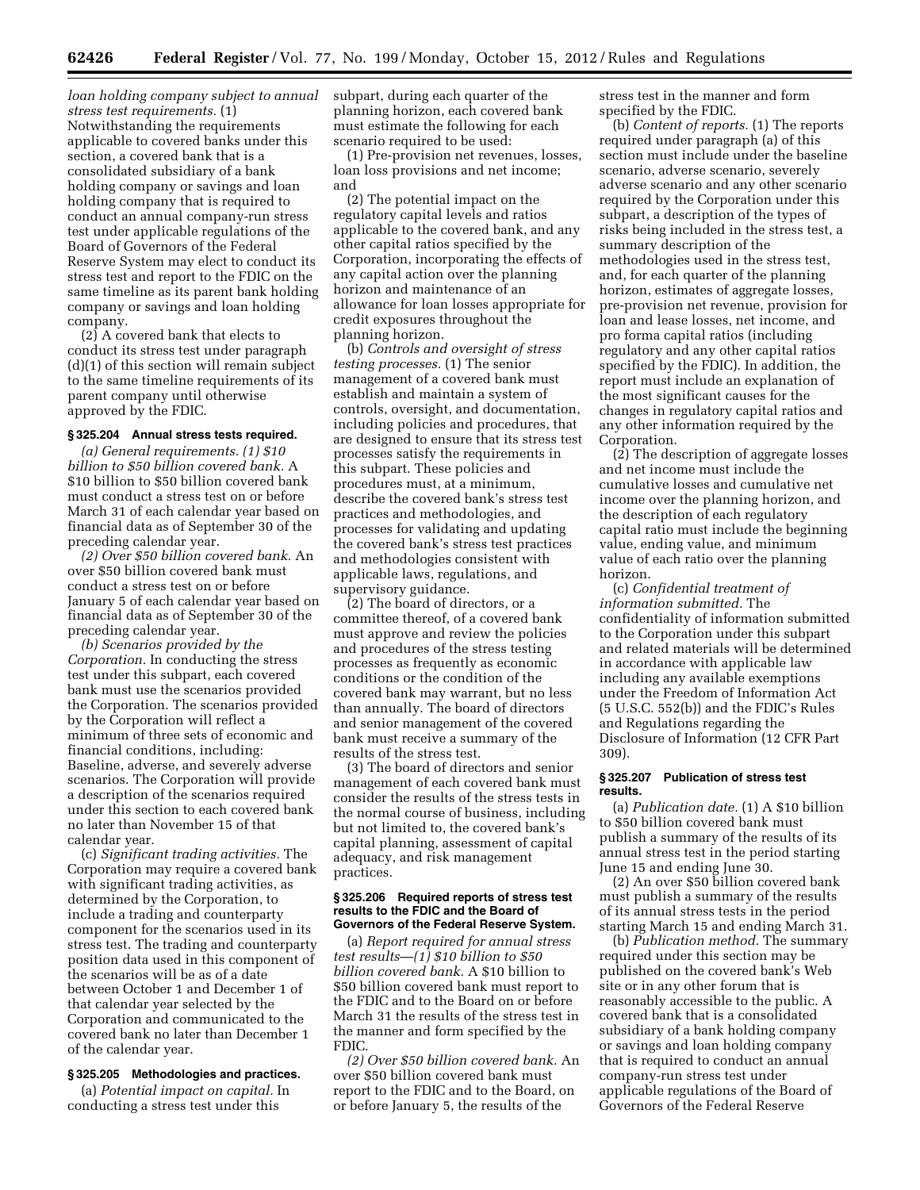*loan holding company subject to annual stress test requirements.* (1) Notwithstanding the requirements applicable to covered banks under this section, a covered bank that is a consolidated subsidiary of a bank holding company or savings and loan holding company that is required to conduct an annual company-run stress test under applicable regulations of the Board of Governors of the Federal Reserve System may elect to conduct its stress test and report to the FDIC on the same timeline as its parent bank holding company or savings and loan holding company.

(2) A covered bank that elects to conduct its stress test under paragraph (d)(1) of this section will remain subject to the same timeline requirements of its parent company until otherwise approved by the FDIC.

## **§ 325.204 Annual stress tests required.**

*(a) General requirements. (1) \$10 billion to \$50 billion covered bank.* A \$10 billion to \$50 billion covered bank must conduct a stress test on or before March 31 of each calendar year based on financial data as of September 30 of the preceding calendar year.

*(2) Over \$50 billion covered bank.* An over \$50 billion covered bank must conduct a stress test on or before January 5 of each calendar year based on financial data as of September 30 of the preceding calendar year.

*(b) Scenarios provided by the Corporation.* In conducting the stress test under this subpart, each covered bank must use the scenarios provided the Corporation. The scenarios provided by the Corporation will reflect a minimum of three sets of economic and financial conditions, including: Baseline, adverse, and severely adverse scenarios. The Corporation will provide a description of the scenarios required under this section to each covered bank no later than November 15 of that calendar year.

(c) *Significant trading activities.* The Corporation may require a covered bank with significant trading activities, as determined by the Corporation, to include a trading and counterparty component for the scenarios used in its stress test. The trading and counterparty position data used in this component of the scenarios will be as of a date between October 1 and December 1 of that calendar year selected by the Corporation and communicated to the covered bank no later than December 1 of the calendar year.

#### **§ 325.205 Methodologies and practices.**

(a) *Potential impact on capital.* In conducting a stress test under this

subpart, during each quarter of the planning horizon, each covered bank must estimate the following for each scenario required to be used:

(1) Pre-provision net revenues, losses, loan loss provisions and net income; and

(2) The potential impact on the regulatory capital levels and ratios applicable to the covered bank, and any other capital ratios specified by the Corporation, incorporating the effects of any capital action over the planning horizon and maintenance of an allowance for loan losses appropriate for credit exposures throughout the planning horizon.

(b) *Controls and oversight of stress testing processes.* (1) The senior management of a covered bank must establish and maintain a system of controls, oversight, and documentation, including policies and procedures, that are designed to ensure that its stress test processes satisfy the requirements in this subpart. These policies and procedures must, at a minimum, describe the covered bank's stress test practices and methodologies, and processes for validating and updating the covered bank's stress test practices and methodologies consistent with applicable laws, regulations, and supervisory guidance.

(2) The board of directors, or a committee thereof, of a covered bank must approve and review the policies and procedures of the stress testing processes as frequently as economic conditions or the condition of the covered bank may warrant, but no less than annually. The board of directors and senior management of the covered bank must receive a summary of the results of the stress test.

(3) The board of directors and senior management of each covered bank must consider the results of the stress tests in the normal course of business, including but not limited to, the covered bank's capital planning, assessment of capital adequacy, and risk management practices.

#### **§ 325.206 Required reports of stress test results to the FDIC and the Board of Governors of the Federal Reserve System.**

(a) *Report required for annual stress test results*—*(1) \$10 billion to \$50 billion covered bank.* A \$10 billion to \$50 billion covered bank must report to the FDIC and to the Board on or before March 31 the results of the stress test in the manner and form specified by the FDIC.

*(2) Over \$50 billion covered bank.* An over \$50 billion covered bank must report to the FDIC and to the Board, on or before January 5, the results of the

stress test in the manner and form specified by the FDIC.

(b) *Content of reports.* (1) The reports required under paragraph (a) of this section must include under the baseline scenario, adverse scenario, severely adverse scenario and any other scenario required by the Corporation under this subpart, a description of the types of risks being included in the stress test, a summary description of the methodologies used in the stress test, and, for each quarter of the planning horizon, estimates of aggregate losses, pre-provision net revenue, provision for loan and lease losses, net income, and pro forma capital ratios (including regulatory and any other capital ratios specified by the FDIC). In addition, the report must include an explanation of the most significant causes for the changes in regulatory capital ratios and any other information required by the Corporation.

(2) The description of aggregate losses and net income must include the cumulative losses and cumulative net income over the planning horizon, and the description of each regulatory capital ratio must include the beginning value, ending value, and minimum value of each ratio over the planning horizon.

(c) *Confidential treatment of information submitted.* The confidentiality of information submitted to the Corporation under this subpart and related materials will be determined in accordance with applicable law including any available exemptions under the Freedom of Information Act (5 U.S.C. 552(b)) and the FDIC's Rules and Regulations regarding the Disclosure of Information (12 CFR Part 309).

#### **§ 325.207 Publication of stress test results.**

(a) *Publication date.* (1) A \$10 billion to \$50 billion covered bank must publish a summary of the results of its annual stress test in the period starting June 15 and ending June 30.

(2) An over \$50 billion covered bank must publish a summary of the results of its annual stress tests in the period starting March 15 and ending March 31.

(b) *Publication method.* The summary required under this section may be published on the covered bank's Web site or in any other forum that is reasonably accessible to the public. A covered bank that is a consolidated subsidiary of a bank holding company or savings and loan holding company that is required to conduct an annual company-run stress test under applicable regulations of the Board of Governors of the Federal Reserve